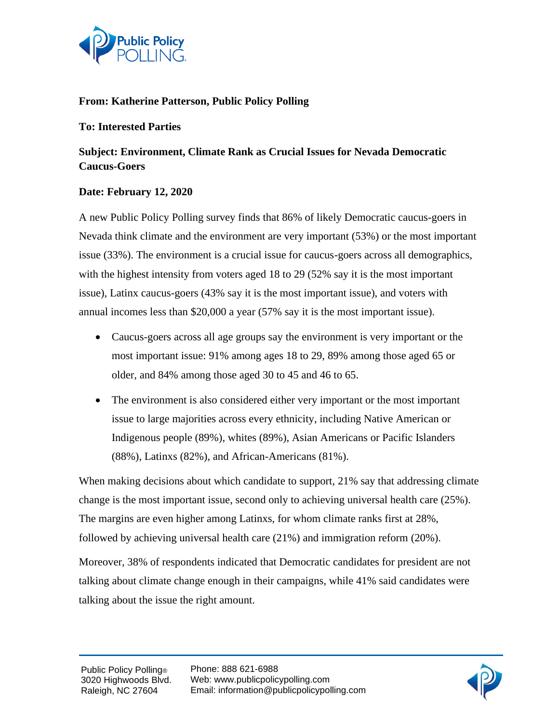

### **From: Katherine Patterson, Public Policy Polling**

#### **To: Interested Parties**

# **Subject: Environment, Climate Rank as Crucial Issues for Nevada Democratic Caucus-Goers**

### **Date: February 12, 2020**

A new Public Policy Polling survey finds that 86% of likely Democratic caucus-goers in Nevada think climate and the environment are very important (53%) or the most important issue (33%). The environment is a crucial issue for caucus-goers across all demographics, with the highest intensity from voters aged 18 to 29 (52% say it is the most important issue), Latinx caucus-goers (43% say it is the most important issue), and voters with annual incomes less than \$20,000 a year (57% say it is the most important issue).

- Caucus-goers across all age groups say the environment is very important or the most important issue: 91% among ages 18 to 29, 89% among those aged 65 or older, and 84% among those aged 30 to 45 and 46 to 65.
- The environment is also considered either very important or the most important issue to large majorities across every ethnicity, including Native American or Indigenous people (89%), whites (89%), Asian Americans or Pacific Islanders (88%), Latinxs (82%), and African-Americans (81%).

When making decisions about which candidate to support, 21% say that addressing climate change is the most important issue, second only to achieving universal health care (25%). The margins are even higher among Latinxs, for whom climate ranks first at 28%, followed by achieving universal health care (21%) and immigration reform (20%).

Moreover, 38% of respondents indicated that Democratic candidates for president are not talking about climate change enough in their campaigns, while 41% said candidates were talking about the issue the right amount.